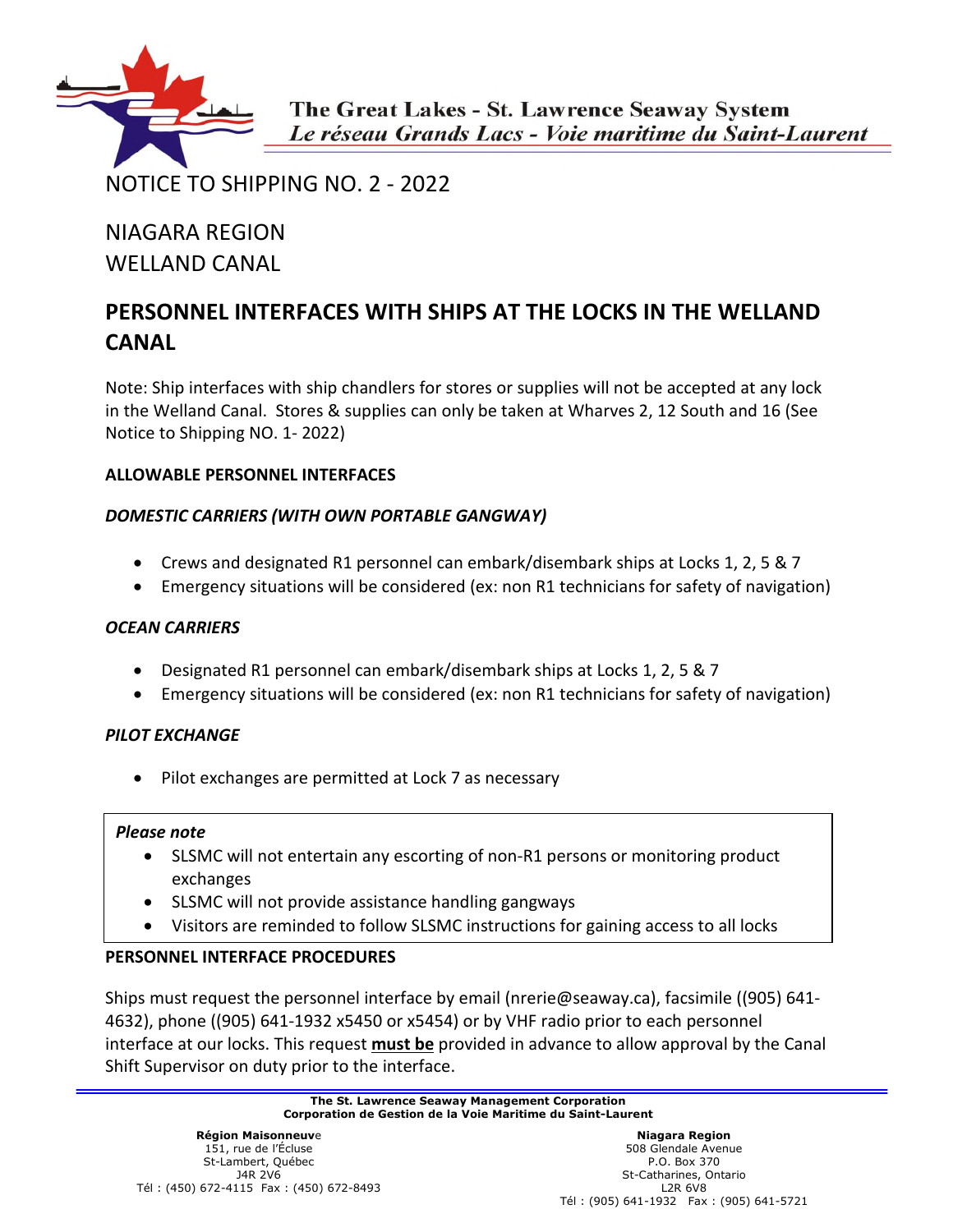

NOTICE TO SHIPPING NO. 2 - 2022

# NIAGARA REGION WELLAND CANAL

## **PERSONNEL INTERFACES WITH SHIPS AT THE LOCKS IN THE WELLAND CANAL**

Note: Ship interfaces with ship chandlers for stores or supplies will not be accepted at any lock in the Welland Canal. Stores & supplies can only be taken at Wharves 2, 12 South and 16 (See Notice to Shipping NO. 1- 2022)

## **ALLOWABLE PERSONNEL INTERFACES**

## *DOMESTIC CARRIERS (WITH OWN PORTABLE GANGWAY)*

- Crews and designated R1 personnel can embark/disembark ships at Locks 1, 2, 5 & 7
- Emergency situations will be considered (ex: non R1 technicians for safety of navigation)

### *OCEAN CARRIERS*

- Designated R1 personnel can embark/disembark ships at Locks 1, 2, 5 & 7
- Emergency situations will be considered (ex: non R1 technicians for safety of navigation)

### *PILOT EXCHANGE*

• Pilot exchanges are permitted at Lock 7 as necessary

#### *Please note*

- SLSMC will not entertain any escorting of non-R1 persons or monitoring product exchanges
- SLSMC will not provide assistance handling gangways
- Visitors are reminded to follow SLSMC instructions for gaining access to all locks

### **PERSONNEL INTERFACE PROCEDURES**

Ships must request the personnel interface by email (nrerie@seaway.ca), facsimile ((905) 641- 4632), phone ((905) 641-1932 x5450 or x5454) or by VHF radio prior to each personnel interface at our locks. This request **must be** provided in advance to allow approval by the Canal Shift Supervisor on duty prior to the interface.

> **The St. Lawrence Seaway Management Corporation Corporation de Gestion de la Voie Maritime du Saint-Laurent**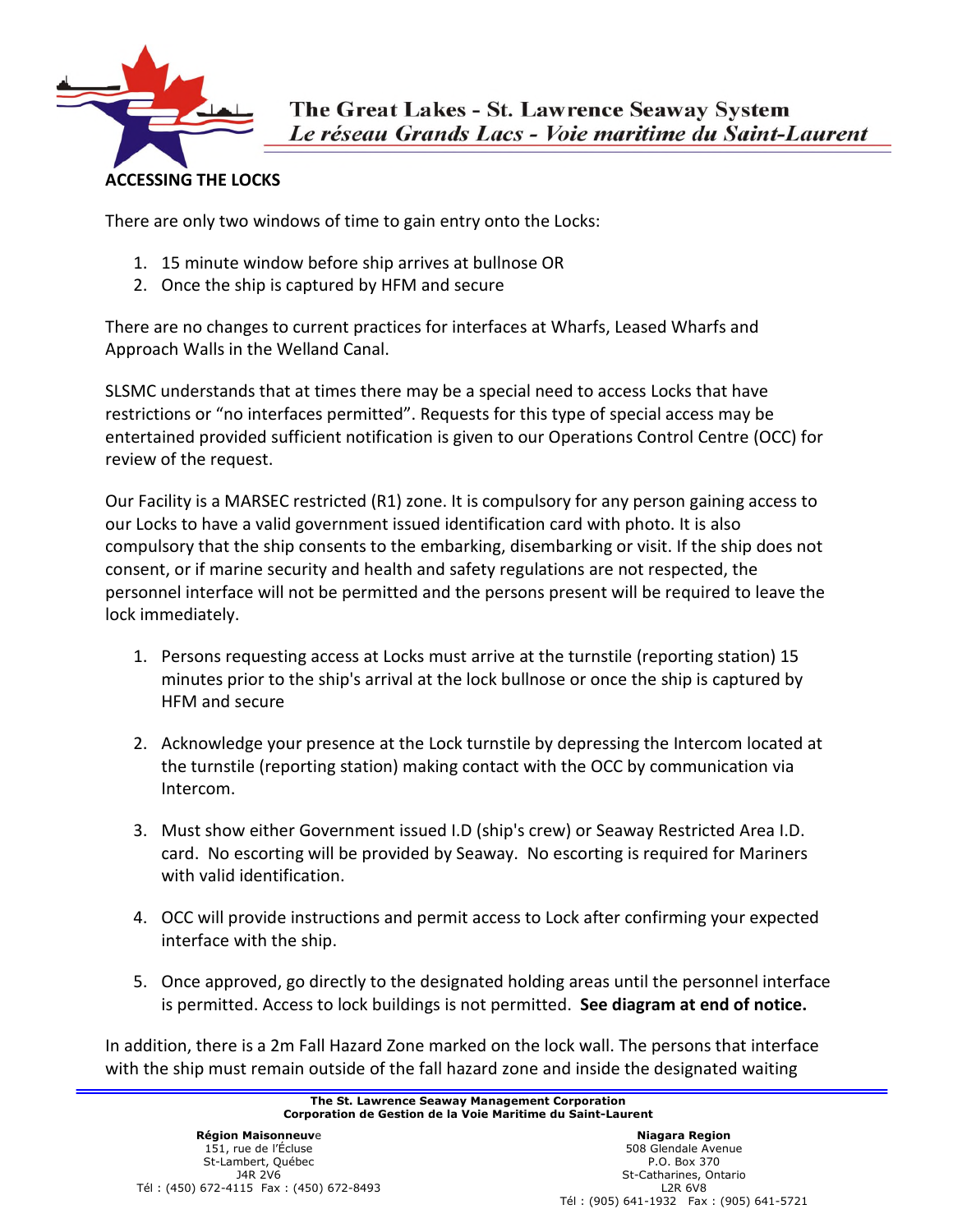

There are only two windows of time to gain entry onto the Locks:

- 1. 15 minute window before ship arrives at bullnose OR
- 2. Once the ship is captured by HFM and secure

There are no changes to current practices for interfaces at Wharfs, Leased Wharfs and Approach Walls in the Welland Canal.

SLSMC understands that at times there may be a special need to access Locks that have restrictions or "no interfaces permitted". Requests for this type of special access may be entertained provided sufficient notification is given to our Operations Control Centre (OCC) for review of the request.

Our Facility is a MARSEC restricted (R1) zone. It is compulsory for any person gaining access to our Locks to have a valid government issued identification card with photo. It is also compulsory that the ship consents to the embarking, disembarking or visit. If the ship does not consent, or if marine security and health and safety regulations are not respected, the personnel interface will not be permitted and the persons present will be required to leave the lock immediately.

- 1. Persons requesting access at Locks must arrive at the turnstile (reporting station) 15 minutes prior to the ship's arrival at the lock bullnose or once the ship is captured by HFM and secure
- 2. Acknowledge your presence at the Lock turnstile by depressing the Intercom located at the turnstile (reporting station) making contact with the OCC by communication via Intercom.
- 3. Must show either Government issued I.D (ship's crew) or Seaway Restricted Area I.D. card. No escorting will be provided by Seaway. No escorting is required for Mariners with valid identification.
- 4. OCC will provide instructions and permit access to Lock after confirming your expected interface with the ship.
- 5. Once approved, go directly to the designated holding areas until the personnel interface is permitted. Access to lock buildings is not permitted. **See diagram at end of notice.**

In addition, there is a 2m Fall Hazard Zone marked on the lock wall. The persons that interface with the ship must remain outside of the fall hazard zone and inside the designated waiting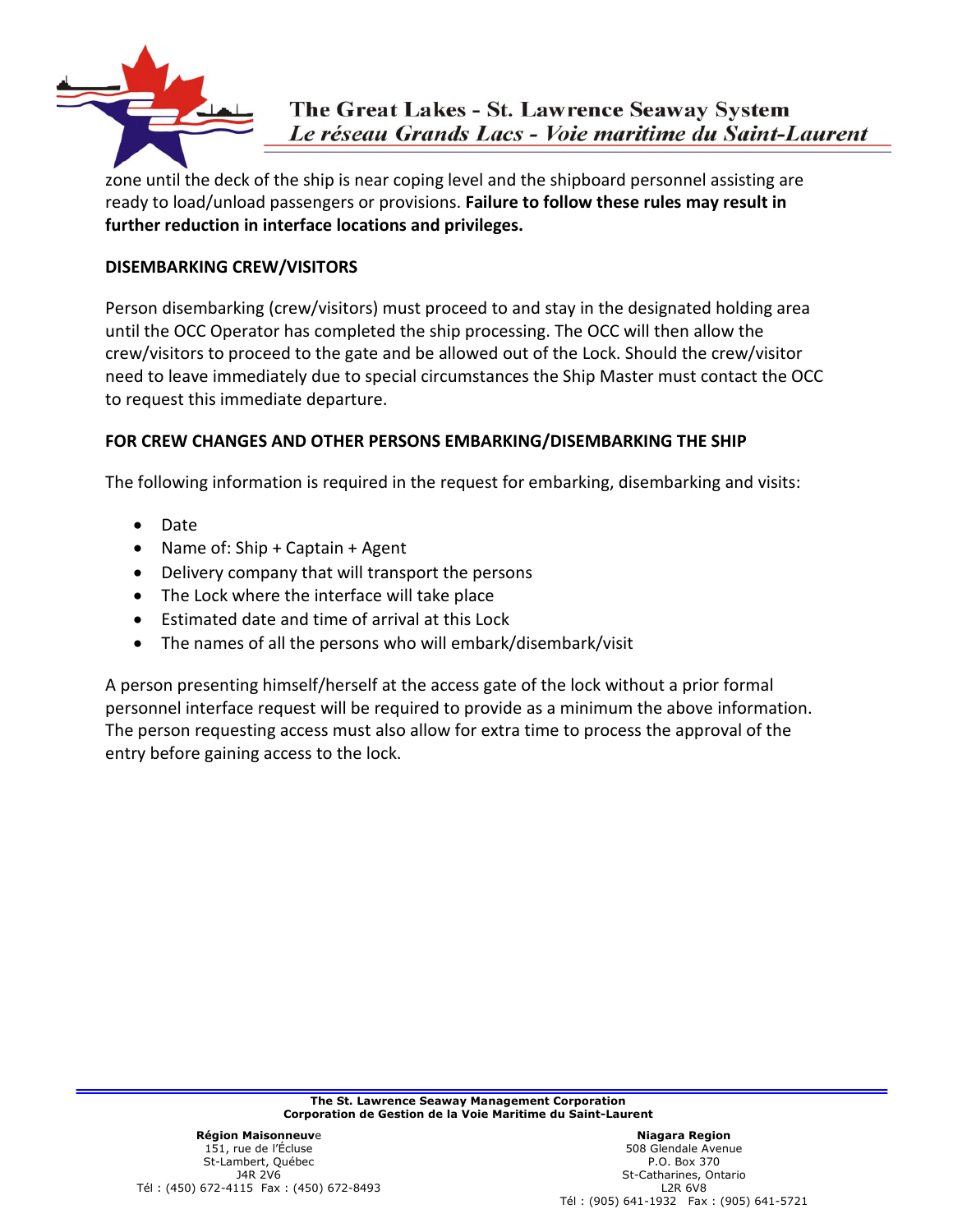

zone until the deck of the ship is near coping level and the shipboard personnel assisting are ready to load/unload passengers or provisions. **Failure to follow these rules may result in further reduction in interface locations and privileges.** 

#### **DISEMBARKING CREW/VISITORS**

Person disembarking (crew/visitors) must proceed to and stay in the designated holding area until the OCC Operator has completed the ship processing. The OCC will then allow the crew/visitors to proceed to the gate and be allowed out of the Lock. Should the crew/visitor need to leave immediately due to special circumstances the Ship Master must contact the OCC to request this immediate departure.

#### **FOR CREW CHANGES AND OTHER PERSONS EMBARKING/DISEMBARKING THE SHIP**

The following information is required in the request for embarking, disembarking and visits:

- Date
- Name of: Ship + Captain + Agent
- Delivery company that will transport the persons
- The Lock where the interface will take place
- Estimated date and time of arrival at this Lock
- The names of all the persons who will embark/disembark/visit

A person presenting himself/herself at the access gate of the lock without a prior formal personnel interface request will be required to provide as a minimum the above information. The person requesting access must also allow for extra time to process the approval of the entry before gaining access to the lock.